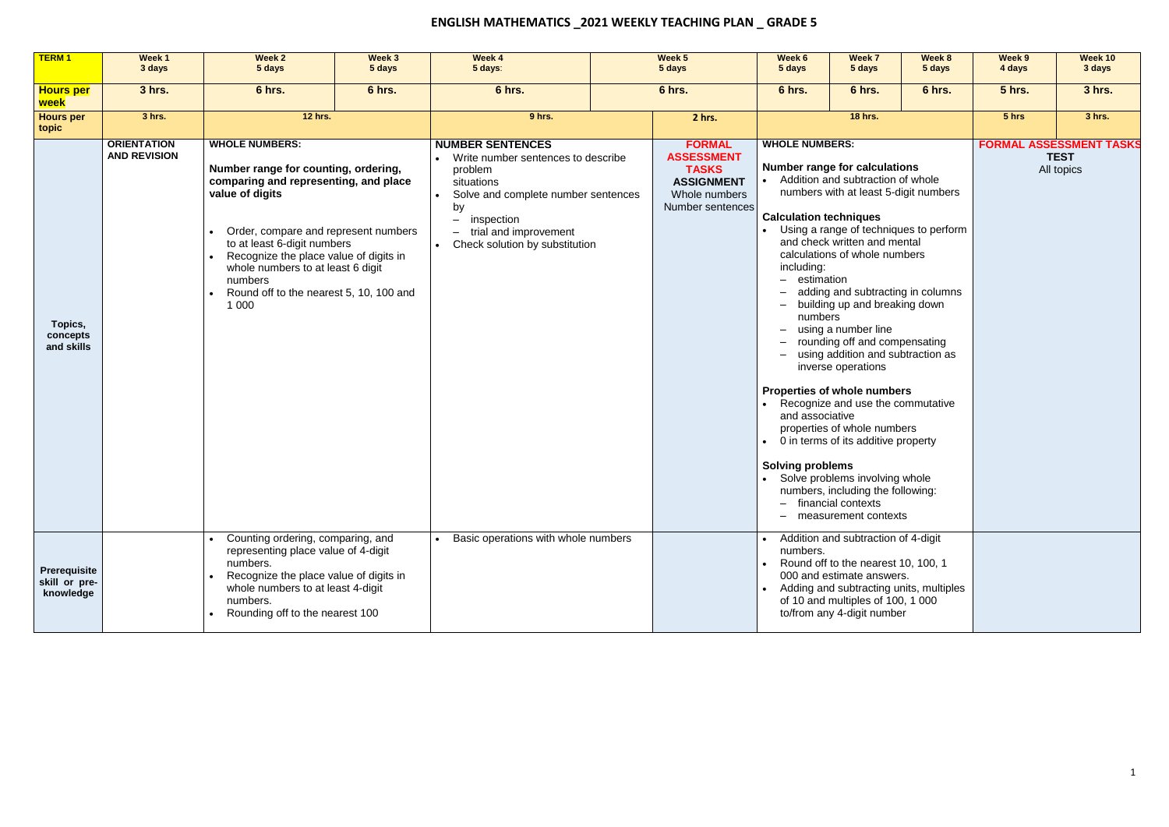## **ENGLISH MATHEMATICS \_2021 WEEKLY TEACHING PLAN \_ GRADE 5**

| <b>TERM1</b>                                      | Week 1<br>3 days                          | Week 2<br>5 days                                                                                                                                                                                                                                                                                                                                 | Week 3<br>5 days | Week 4<br>5 days:                                                                                                                                                                                                          | Week 5<br>5 days |                                                                                                              | Week 6<br>5 days                                                                                                                                   | Week 7<br>5 days                                                                                                                                                                                                                                                                                                                                                                                                                                                                                                                                                                                                                                   | Week 8<br>5 days                       | Week 9<br>4 days                                            | Week 10<br>3 days |
|---------------------------------------------------|-------------------------------------------|--------------------------------------------------------------------------------------------------------------------------------------------------------------------------------------------------------------------------------------------------------------------------------------------------------------------------------------------------|------------------|----------------------------------------------------------------------------------------------------------------------------------------------------------------------------------------------------------------------------|------------------|--------------------------------------------------------------------------------------------------------------|----------------------------------------------------------------------------------------------------------------------------------------------------|----------------------------------------------------------------------------------------------------------------------------------------------------------------------------------------------------------------------------------------------------------------------------------------------------------------------------------------------------------------------------------------------------------------------------------------------------------------------------------------------------------------------------------------------------------------------------------------------------------------------------------------------------|----------------------------------------|-------------------------------------------------------------|-------------------|
| <b>Hours per</b><br>week                          | 3 hrs.                                    | 6 hrs.<br>6 hrs.                                                                                                                                                                                                                                                                                                                                 |                  | 6 hrs.                                                                                                                                                                                                                     |                  | 6 hrs.                                                                                                       | 6 hrs.                                                                                                                                             | 6 hrs.                                                                                                                                                                                                                                                                                                                                                                                                                                                                                                                                                                                                                                             | 6 hrs.                                 | <b>5 hrs.</b>                                               | 3 hrs.            |
| <b>Hours per</b><br>topic                         | 3 hrs.                                    | <b>12 hrs.</b>                                                                                                                                                                                                                                                                                                                                   |                  | 9 hrs.                                                                                                                                                                                                                     |                  | 2 hrs.                                                                                                       |                                                                                                                                                    | <b>18 hrs.</b>                                                                                                                                                                                                                                                                                                                                                                                                                                                                                                                                                                                                                                     |                                        | 5 <sub>hrs</sub>                                            | 3 hrs.            |
| Topics,<br>concepts<br>and skills                 | <b>ORIENTATION</b><br><b>AND REVISION</b> | <b>WHOLE NUMBERS:</b><br>Number range for counting, ordering,<br>comparing and representing, and place<br>value of digits<br>Order, compare and represent numbers<br>to at least 6-digit numbers<br>Recognize the place value of digits in<br>whole numbers to at least 6 digit<br>numbers<br>Round off to the nearest 5, 10, 100 and<br>1 0 0 0 |                  | <b>NUMBER SENTENCES</b><br>Write number sentences to describe<br>problem<br>situations<br>Solve and complete number sentences<br>by<br>inspection<br>$-$<br>trial and improvement<br>$-$<br>Check solution by substitution |                  | <b>FORMAL</b><br><b>ASSESSMENT</b><br><b>TASKS</b><br><b>ASSIGNMENT</b><br>Whole numbers<br>Number sentences | <b>WHOLE NUMBERS:</b><br><b>Calculation techniques</b><br>including:<br>estimation<br>numbers<br>$-$<br>and associative<br><b>Solving problems</b> | <b>Number range for calculations</b><br>Addition and subtraction of whole<br>numbers with at least 5-digit numbers<br>and check written and mental<br>calculations of whole numbers<br>adding and subtracting in columns<br>building up and breaking down<br>using a number line<br>rounding off and compensating<br>using addition and subtraction as<br>inverse operations<br><b>Properties of whole numbers</b><br>Recognize and use the commutative<br>properties of whole numbers<br>0 in terms of its additive property<br>Solve problems involving whole<br>numbers, including the following:<br>financial contexts<br>measurement contexts | Using a range of techniques to perform | <b>FORMAL ASSESSMENT TASKS</b><br><b>TEST</b><br>All topics |                   |
| <b>Prerequisite</b><br>skill or pre-<br>knowledge |                                           | Counting ordering, comparing, and<br>representing place value of 4-digit<br>numbers.<br>Recognize the place value of digits in<br>whole numbers to at least 4-digit<br>numbers.<br>Rounding off to the nearest 100                                                                                                                               |                  | Basic operations with whole numbers                                                                                                                                                                                        |                  |                                                                                                              | numbers.                                                                                                                                           | Addition and subtraction of 4-digit<br>Round off to the nearest 10, 100, 1<br>000 and estimate answers.<br>Adding and subtracting units, multiples<br>of 10 and multiples of 100, 1 000<br>to/from any 4-digit number                                                                                                                                                                                                                                                                                                                                                                                                                              |                                        |                                                             |                   |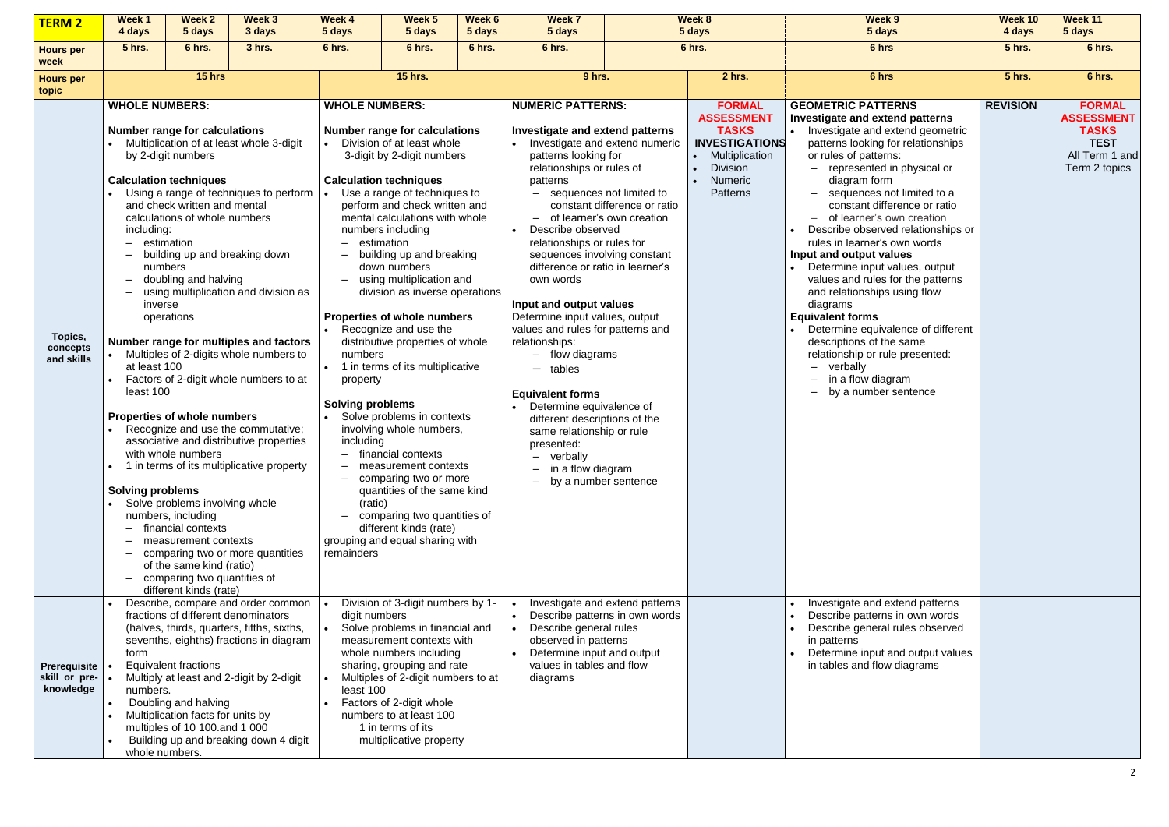| <b>TERM 2</b>                              | Week 1<br>4 days                                                                                                                                        | Week 2<br>5 days                                                                                                                                                                                                                                                                                                                                                                                                                                                                   | Week 3<br>3 days                                                                                                                                                                                                                                                                                                                                                                                                                                            | Week 4<br>5 days                                                                                                              | Week 5<br>5 days                                                                                                                                                                                                                                                                                                                                                                                                                                                                                                                                                                                                                                                                                                                                                  | Week 6<br>5 days | <b>Week 7</b><br>5 days                                                                                                                                                                                                                                                                                                                                                                                                                                                                                                                                                                                                                                                                                                                                                  |                                                                   | Week 8<br>5 days                                                                                                                                 | Week 9<br>5 days                                                                                                                                                                                                                                                                                                                                                                                                                                                                                                                                                                                                                                                                                                                  | Week 10<br>4 days | Week 11<br>5 days                                                                                    |
|--------------------------------------------|---------------------------------------------------------------------------------------------------------------------------------------------------------|------------------------------------------------------------------------------------------------------------------------------------------------------------------------------------------------------------------------------------------------------------------------------------------------------------------------------------------------------------------------------------------------------------------------------------------------------------------------------------|-------------------------------------------------------------------------------------------------------------------------------------------------------------------------------------------------------------------------------------------------------------------------------------------------------------------------------------------------------------------------------------------------------------------------------------------------------------|-------------------------------------------------------------------------------------------------------------------------------|-------------------------------------------------------------------------------------------------------------------------------------------------------------------------------------------------------------------------------------------------------------------------------------------------------------------------------------------------------------------------------------------------------------------------------------------------------------------------------------------------------------------------------------------------------------------------------------------------------------------------------------------------------------------------------------------------------------------------------------------------------------------|------------------|--------------------------------------------------------------------------------------------------------------------------------------------------------------------------------------------------------------------------------------------------------------------------------------------------------------------------------------------------------------------------------------------------------------------------------------------------------------------------------------------------------------------------------------------------------------------------------------------------------------------------------------------------------------------------------------------------------------------------------------------------------------------------|-------------------------------------------------------------------|--------------------------------------------------------------------------------------------------------------------------------------------------|-----------------------------------------------------------------------------------------------------------------------------------------------------------------------------------------------------------------------------------------------------------------------------------------------------------------------------------------------------------------------------------------------------------------------------------------------------------------------------------------------------------------------------------------------------------------------------------------------------------------------------------------------------------------------------------------------------------------------------------|-------------------|------------------------------------------------------------------------------------------------------|
| <b>Hours per</b><br>week                   | <b>5 hrs.</b>                                                                                                                                           | 6 hrs.                                                                                                                                                                                                                                                                                                                                                                                                                                                                             | 3 hrs.                                                                                                                                                                                                                                                                                                                                                                                                                                                      | 6 hrs.                                                                                                                        | 6 hrs.                                                                                                                                                                                                                                                                                                                                                                                                                                                                                                                                                                                                                                                                                                                                                            | 6 hrs.           | 6 hrs.                                                                                                                                                                                                                                                                                                                                                                                                                                                                                                                                                                                                                                                                                                                                                                   |                                                                   | 6 hrs.                                                                                                                                           | 6 hrs                                                                                                                                                                                                                                                                                                                                                                                                                                                                                                                                                                                                                                                                                                                             | <b>5 hrs.</b>     | 6 hrs.                                                                                               |
| <b>Hours per</b><br>topic                  | 15 hrs                                                                                                                                                  |                                                                                                                                                                                                                                                                                                                                                                                                                                                                                    |                                                                                                                                                                                                                                                                                                                                                                                                                                                             |                                                                                                                               | <b>15 hrs.</b>                                                                                                                                                                                                                                                                                                                                                                                                                                                                                                                                                                                                                                                                                                                                                    |                  | 9 hrs.                                                                                                                                                                                                                                                                                                                                                                                                                                                                                                                                                                                                                                                                                                                                                                   |                                                                   | 2 hrs.                                                                                                                                           | 6 hrs                                                                                                                                                                                                                                                                                                                                                                                                                                                                                                                                                                                                                                                                                                                             | <b>5 hrs.</b>     | 6 hrs.                                                                                               |
| Topics,<br>concepts<br>and skills          | <b>WHOLE NUMBERS:</b><br>including:<br>$\overline{\phantom{0}}$<br>inverse<br>at least 100<br>least 100<br><b>Solving problems</b><br>$\qquad \qquad -$ | <b>Number range for calculations</b><br>by 2-digit numbers<br><b>Calculation techniques</b><br>and check written and mental<br>calculations of whole numbers<br>estimation<br>numbers<br>doubling and halving<br>operations<br><b>Properties of whole numbers</b><br>with whole numbers<br>Solve problems involving whole<br>numbers, including<br>financial contexts<br>measurement contexts<br>of the same kind (ratio)<br>comparing two quantities of<br>different kinds (rate) | Multiplication of at least whole 3-digit<br>Using a range of techniques to perform<br>building up and breaking down<br>using multiplication and division as<br>Number range for multiples and factors<br>Multiples of 2-digits whole numbers to<br>Factors of 2-digit whole numbers to at<br>Recognize and use the commutative;<br>associative and distributive properties<br>1 in terms of its multiplicative property<br>comparing two or more quantities | <b>WHOLE NUMBERS:</b><br>- estimation<br>numbers<br>property<br><b>Solving problems</b><br>including<br>(ratio)<br>remainders | <b>Number range for calculations</b><br>Division of at least whole<br>3-digit by 2-digit numbers<br><b>Calculation techniques</b><br>Use a range of techniques to<br>perform and check written and<br>mental calculations with whole<br>numbers including<br>- building up and breaking<br>down numbers<br>using multiplication and<br>division as inverse operations<br>Properties of whole numbers<br>Recognize and use the<br>distributive properties of whole<br>1 in terms of its multiplicative<br>Solve problems in contexts<br>involving whole numbers,<br>financial contexts<br>measurement contexts<br>comparing two or more<br>quantities of the same kind<br>comparing two quantities of<br>different kinds (rate)<br>grouping and equal sharing with |                  | <b>NUMERIC PATTERNS:</b><br>Investigate and extend patterns<br>• Investigate and extend numeric<br>patterns looking for<br>relationships or rules of<br>patterns<br>sequences not limited to<br>constant difference or ratio<br>- of learner's own creation<br>Describe observed<br>relationships or rules for<br>sequences involving constant<br>difference or ratio in learner's<br>own words<br>Input and output values<br>Determine input values, output<br>values and rules for patterns and<br>relationships:<br>- flow diagrams<br>tables<br>$\overline{\phantom{0}}$<br><b>Equivalent forms</b><br>Determine equivalence of<br>different descriptions of the<br>same relationship or rule<br>presented:<br>verbally<br>in a flow diagram<br>by a number sentence |                                                                   | <b>FORMAL</b><br><b>ASSESSMENT</b><br><b>TASKS</b><br><b>INVESTIGATIONS</b><br>• Multiplication<br><b>Division</b><br>Numeric<br><b>Patterns</b> | <b>GEOMETRIC PATTERNS</b><br>Investigate and extend patterns<br>Investigate and extend geometric<br>patterns looking for relationships<br>or rules of patterns:<br>- represented in physical or<br>diagram form<br>sequences not limited to a<br>constant difference or ratio<br>- of learner's own creation<br>Describe observed relationships or<br>rules in learner's own words<br>Input and output values<br>Determine input values, output<br>values and rules for the patterns<br>and relationships using flow<br>diagrams<br><b>Equivalent forms</b><br>Determine equivalence of different<br>descriptions of the same<br>relationship or rule presented:<br>- verbally<br>$-$ in a flow diagram<br>- by a number sentence | <b>REVISION</b>   | <b>FORMAL</b><br><b>ASSESSMENT</b><br><b>TASKS</b><br><b>TEST</b><br>All Term 1 and<br>Term 2 topics |
| Prerequisite<br>skill or pre-<br>knowledge | form<br>numbers.                                                                                                                                        | fractions of different denominators<br><b>Equivalent fractions</b><br>Doubling and halving<br>Multiplication facts for units by<br>multiples of 10 100.and 1 000<br>whole numbers.                                                                                                                                                                                                                                                                                                 | Describe, compare and order common<br>(halves, thirds, quarters, fifths, sixths,<br>sevenths, eighths) fractions in diagram<br>Multiply at least and 2-digit by 2-digit<br>Building up and breaking down 4 digit                                                                                                                                                                                                                                            | digit numbers<br>least 100                                                                                                    | Division of 3-digit numbers by 1-<br>Solve problems in financial and<br>measurement contexts with<br>whole numbers including<br>sharing, grouping and rate<br>Multiples of 2-digit numbers to at<br>Factors of 2-digit whole<br>numbers to at least 100<br>1 in terms of its<br>multiplicative property                                                                                                                                                                                                                                                                                                                                                                                                                                                           |                  | $\bullet$<br>Describe general rules<br>observed in patterns<br>Determine input and output<br>values in tables and flow<br>diagrams                                                                                                                                                                                                                                                                                                                                                                                                                                                                                                                                                                                                                                       | Investigate and extend patterns<br>Describe patterns in own words |                                                                                                                                                  | Investigate and extend patterns<br>Describe patterns in own words<br>Describe general rules observed<br>in patterns<br>Determine input and output values<br>in tables and flow diagrams                                                                                                                                                                                                                                                                                                                                                                                                                                                                                                                                           |                   |                                                                                                      |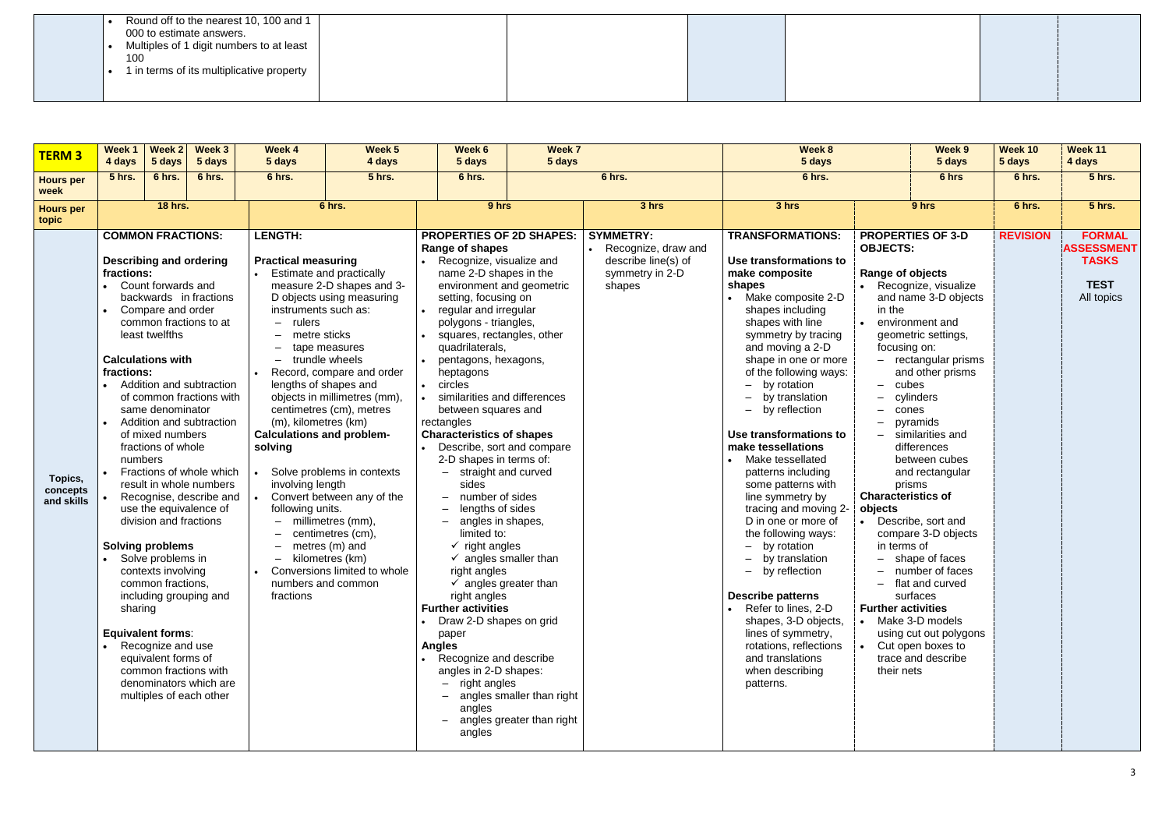|--|

| <b>TERM3</b>                      | Week 1<br>4 days                               | Week 2<br>5 days                                                                                                                                                                                                                                                                                                                                                                                                                         | Week 3<br>5 days                                                                                                                                                                                                                                                                                                               | Week 4<br>5 days                                                                                                                                                                                                                    | Week 5<br>4 days                                                                                                                                                                                                                                                                                                                                                                                                                         | Week 7<br>Week 6<br>5 days<br>5 days                                                                                                                                                                                                                                                                                                                                                                                                                                                                                                                                                                                                                                                                                                                                                                                                                                                                            |                                                        |                                                                                             | Week 8<br>5 days                                                                                                                                                                                                                                                                                                                                                                                                                                                                                                                                                                                                                                                                                                                                           |                                                                                                                                                                                                                                                                                                                                                                      | Week 9<br>Week 10<br>5 days<br>5 days                                                                                                                                                                                                                                                                                                                                             |                 | Week 11<br>4 days                                                               |
|-----------------------------------|------------------------------------------------|------------------------------------------------------------------------------------------------------------------------------------------------------------------------------------------------------------------------------------------------------------------------------------------------------------------------------------------------------------------------------------------------------------------------------------------|--------------------------------------------------------------------------------------------------------------------------------------------------------------------------------------------------------------------------------------------------------------------------------------------------------------------------------|-------------------------------------------------------------------------------------------------------------------------------------------------------------------------------------------------------------------------------------|------------------------------------------------------------------------------------------------------------------------------------------------------------------------------------------------------------------------------------------------------------------------------------------------------------------------------------------------------------------------------------------------------------------------------------------|-----------------------------------------------------------------------------------------------------------------------------------------------------------------------------------------------------------------------------------------------------------------------------------------------------------------------------------------------------------------------------------------------------------------------------------------------------------------------------------------------------------------------------------------------------------------------------------------------------------------------------------------------------------------------------------------------------------------------------------------------------------------------------------------------------------------------------------------------------------------------------------------------------------------|--------------------------------------------------------|---------------------------------------------------------------------------------------------|------------------------------------------------------------------------------------------------------------------------------------------------------------------------------------------------------------------------------------------------------------------------------------------------------------------------------------------------------------------------------------------------------------------------------------------------------------------------------------------------------------------------------------------------------------------------------------------------------------------------------------------------------------------------------------------------------------------------------------------------------------|----------------------------------------------------------------------------------------------------------------------------------------------------------------------------------------------------------------------------------------------------------------------------------------------------------------------------------------------------------------------|-----------------------------------------------------------------------------------------------------------------------------------------------------------------------------------------------------------------------------------------------------------------------------------------------------------------------------------------------------------------------------------|-----------------|---------------------------------------------------------------------------------|
| <b>Hours per</b><br>week          | 5 hrs.                                         | 6 hrs.                                                                                                                                                                                                                                                                                                                                                                                                                                   | 6 hrs.                                                                                                                                                                                                                                                                                                                         | 6 hrs.                                                                                                                                                                                                                              | <b>5 hrs.</b>                                                                                                                                                                                                                                                                                                                                                                                                                            | 6 hrs.                                                                                                                                                                                                                                                                                                                                                                                                                                                                                                                                                                                                                                                                                                                                                                                                                                                                                                          |                                                        | 6 hrs.                                                                                      | 6 hrs.                                                                                                                                                                                                                                                                                                                                                                                                                                                                                                                                                                                                                                                                                                                                                     |                                                                                                                                                                                                                                                                                                                                                                      | 6 hrs                                                                                                                                                                                                                                                                                                                                                                             | 6 hrs.          | <b>5 hrs.</b>                                                                   |
| <b>Hours per</b><br>topic         |                                                | <b>18 hrs.</b>                                                                                                                                                                                                                                                                                                                                                                                                                           |                                                                                                                                                                                                                                                                                                                                |                                                                                                                                                                                                                                     | 6 hrs.                                                                                                                                                                                                                                                                                                                                                                                                                                   | 9 hrs                                                                                                                                                                                                                                                                                                                                                                                                                                                                                                                                                                                                                                                                                                                                                                                                                                                                                                           |                                                        | 3 hrs                                                                                       | 3 hrs                                                                                                                                                                                                                                                                                                                                                                                                                                                                                                                                                                                                                                                                                                                                                      |                                                                                                                                                                                                                                                                                                                                                                      | 9 hrs                                                                                                                                                                                                                                                                                                                                                                             | 6 hrs.          | <b>5 hrs.</b>                                                                   |
| Topics,<br>concepts<br>and skills | fractions:<br>fractions:<br>numbers<br>sharing | <b>COMMON FRACTIONS:</b><br><b>Describing and ordering</b><br>Count forwards and<br>Compare and order<br>least twelfths<br><b>Calculations with</b><br>same denominator<br>of mixed numbers<br>fractions of whole<br>use the equivalence of<br>division and fractions<br><b>Solving problems</b><br>Solve problems in<br>contexts involving<br>common fractions,<br><b>Equivalent forms:</b><br>Recognize and use<br>equivalent forms of | backwards in fractions<br>common fractions to at<br>Addition and subtraction<br>of common fractions with<br>Addition and subtraction<br>Fractions of whole which<br>result in whole numbers<br>Recognise, describe and<br>including grouping and<br>common fractions with<br>denominators which are<br>multiples of each other | <b>LENGTH:</b><br><b>Practical measuring</b><br>instruments such as:<br>$-$ rulers<br>metre sticks<br>(m), kilometres (km)<br><b>Calculations and problem-</b><br>solving<br>involving length<br>following units.<br>-<br>fractions | Estimate and practically<br>measure 2-D shapes and 3-<br>D objects using measuring<br>tape measures<br>trundle wheels<br>Record, compare and order<br>lengths of shapes and<br>objects in millimetres (mm),<br>centimetres (cm), metres<br>Solve problems in contexts<br>Convert between any of the<br>millimetres (mm),<br>centimetres (cm),<br>metres (m) and<br>kilometres (km)<br>Conversions limited to whole<br>numbers and common | <b>PROPERTIES OF 2D SHAPES:</b><br>Range of shapes<br>Recognize, visualize and<br>name 2-D shapes in the<br>environment and geometric<br>setting, focusing on<br>regular and irregular<br>polygons - triangles,<br>squares, rectangles, other<br>quadrilaterals,<br>pentagons, hexagons,<br>heptagons<br>circles<br>similarities and differences<br>between squares and<br>rectangles<br><b>Characteristics of shapes</b><br>Describe, sort and compare<br>2-D shapes in terms of:<br>straight and curved<br>sides<br>number of sides<br>lengths of sides<br>angles in shapes,<br>limited to:<br>$\checkmark$ right angles<br>$\checkmark$ angles smaller than<br>right angles<br>$\checkmark$ angles greater than<br>right angles<br><b>Further activities</b><br>Draw 2-D shapes on grid<br>paper<br><b>Angles</b><br>Recognize and describe<br>angles in 2-D shapes:<br>$-$ right angles<br>angles<br>angles | angles smaller than right<br>angles greater than right | <b>SYMMETRY:</b><br>Recognize, draw and<br>describe line(s) of<br>symmetry in 2-D<br>shapes | <b>TRANSFORMATIONS:</b><br>Use transformations to<br>make composite<br>shapes<br>• Make composite 2-D<br>shapes including<br>shapes with line<br>symmetry by tracing<br>and moving a 2-D<br>shape in one or more<br>of the following ways:<br>by rotation<br>by translation<br>by reflection<br>$-$<br>Use transformations to<br>make tessellations<br>Make tessellated<br>patterns including<br>some patterns with<br>line symmetry by<br>tracing and moving 2-<br>D in one or more of<br>the following ways:<br>$-$ by rotation<br>by translation<br>by reflection<br>$-$<br><b>Describe patterns</b><br>Refer to lines, 2-D<br>shapes, 3-D objects,<br>lines of symmetry,<br>rotations, reflections<br>and translations<br>when describing<br>patterns. | <b>PROPERTIES OF 3-D</b><br><b>OBJECTS:</b><br>Range of objects<br>in the<br>focusing on:<br>cubes<br>$\overline{\phantom{0}}$<br>cones<br>-<br>prisms<br><b>Characteristics of</b><br>objects<br>• Describe, sort and<br>in terms of<br>$\overline{\phantom{0}}$<br>$\equiv$<br><b>Further activities</b><br>• Make 3-D models<br>• Cut open boxes to<br>their nets | • Recognize, visualize<br>and name 3-D objects<br>environment and<br>geometric settings,<br>- rectangular prisms<br>and other prisms<br>cylinders<br>pyramids<br>similarities and<br>differences<br>between cubes<br>and rectangular<br>compare 3-D objects<br>shape of faces<br>- number of faces<br>flat and curved<br>surfaces<br>using cut out polygons<br>trace and describe | <b>REVISION</b> | <b>FORMAL</b><br><b>ASSESSMENT</b><br><b>TASKS</b><br><b>TEST</b><br>All topics |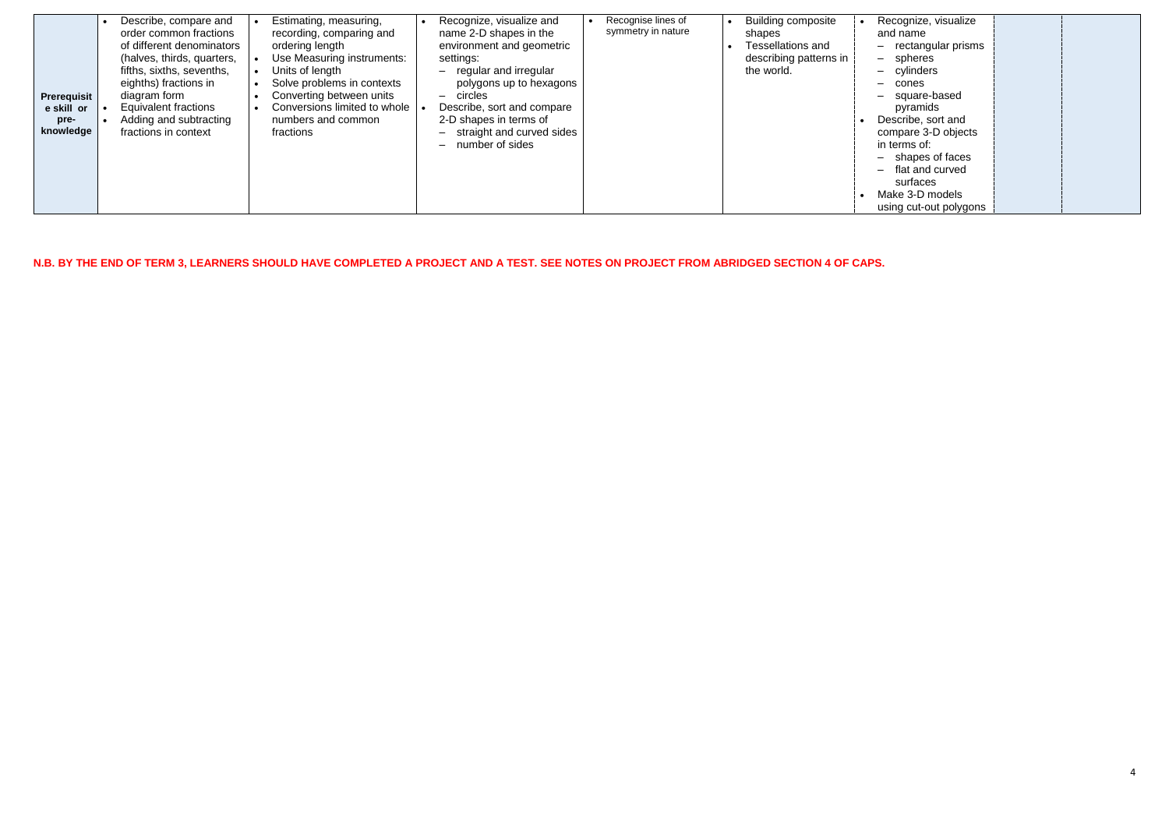| Prerequisit<br>e skill or<br>pre-<br>knowledge | Describe, compare and<br>order common fractions<br>of different denominators<br>(halves, thirds, quarters,<br>fifths, sixths, sevenths,<br>eighths) fractions in<br>diagram form<br><b>Equivalent fractions</b><br>Adding and subtracting<br>fractions in context | Recognize, visualize and<br>Estimating, measuring,<br>name 2-D shapes in the<br>recording, comparing and<br>environment and geometric<br>ordering length<br>Use Measuring instruments:<br>settings:<br>Units of length<br>- regular and irregular<br>Solve problems in contexts<br>polygons up to hexagons<br>Converting between units<br>circles<br>Conversions limited to whole<br>Describe, sort and compare<br>2-D shapes in terms of<br>numbers and common<br>straight and curved sides<br>fractions<br>$\overline{\phantom{0}}$<br>number of sides<br>$\overline{\phantom{m}}$ | Recognise lines of<br>Recognize, visualize<br><b>Building composite</b><br>symmetry in nature<br>and name<br>shapes<br><b>Tessellations and</b><br>- rectangular prisms<br>describing patterns in<br>- spheres<br>- cylinders<br>the world.<br>- cones<br>- square-based<br>pyramids<br>Describe, sort and<br>compare 3-D objects<br>in terms of:<br>- shapes of faces<br>- flat and curved<br>surfaces<br>Make 3-D models<br>using cut-out polygons |  |
|------------------------------------------------|-------------------------------------------------------------------------------------------------------------------------------------------------------------------------------------------------------------------------------------------------------------------|--------------------------------------------------------------------------------------------------------------------------------------------------------------------------------------------------------------------------------------------------------------------------------------------------------------------------------------------------------------------------------------------------------------------------------------------------------------------------------------------------------------------------------------------------------------------------------------|------------------------------------------------------------------------------------------------------------------------------------------------------------------------------------------------------------------------------------------------------------------------------------------------------------------------------------------------------------------------------------------------------------------------------------------------------|--|
|------------------------------------------------|-------------------------------------------------------------------------------------------------------------------------------------------------------------------------------------------------------------------------------------------------------------------|--------------------------------------------------------------------------------------------------------------------------------------------------------------------------------------------------------------------------------------------------------------------------------------------------------------------------------------------------------------------------------------------------------------------------------------------------------------------------------------------------------------------------------------------------------------------------------------|------------------------------------------------------------------------------------------------------------------------------------------------------------------------------------------------------------------------------------------------------------------------------------------------------------------------------------------------------------------------------------------------------------------------------------------------------|--|

**N.B. BY THE END OF TERM 3, LEARNERS SHOULD HAVE COMPLETED A PROJECT AND A TEST. SEE NOTES ON PROJECT FROM ABRIDGED SECTION 4 OF CAPS.**